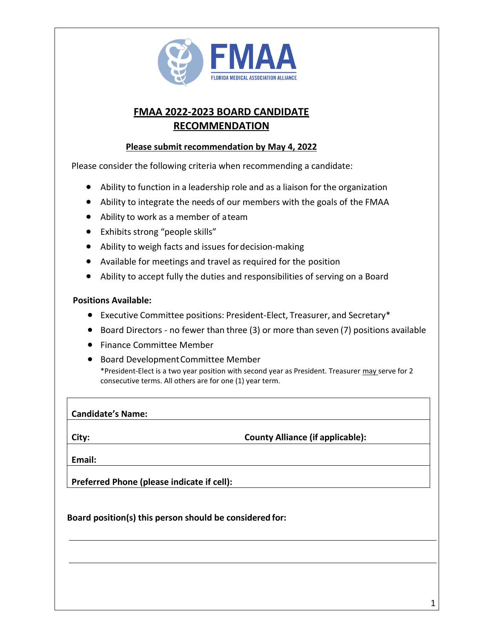

# **FMAA 2022-2023 BOARD CANDIDATE RECOMMENDATION**

### **Please submit recommendation by May 4, 2022**

Please consider the following criteria when recommending a candidate:

- Ability to function in a leadership role and as a liaison for the organization
- Ability to integrate the needs of our members with the goals of the FMAA
- Ability to work as a member of ateam
- Exhibits strong "people skills"
- Ability to weigh facts and issues fordecision-making
- Available for meetings and travel as required for the position
- Ability to accept fully the duties and responsibilities of serving on a Board

## **Positions Available:**

- Executive Committee positions: President-Elect, Treasurer, and Secretary\*
- Board Directors no fewer than three (3) or more than seven (7) positions available
- Finance Committee Member
- Board DevelopmentCommittee Member \*President-Elect is a two year position with second year as President. Treasurer may serve for 2 consecutive terms. All others are for one (1) year term.

| <b>Candidate's Name:</b>                   |                                                         |
|--------------------------------------------|---------------------------------------------------------|
| City:                                      | <b>County Alliance (if applicable):</b>                 |
| Email:                                     |                                                         |
| Preferred Phone (please indicate if cell): |                                                         |
|                                            | Board position(s) this person should be considered for: |
|                                            |                                                         |

1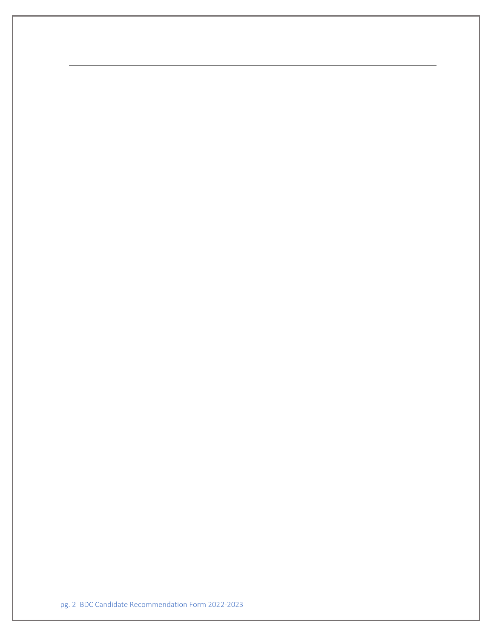pg. 2 BDC Candidate Recommendation Form 2022-2023